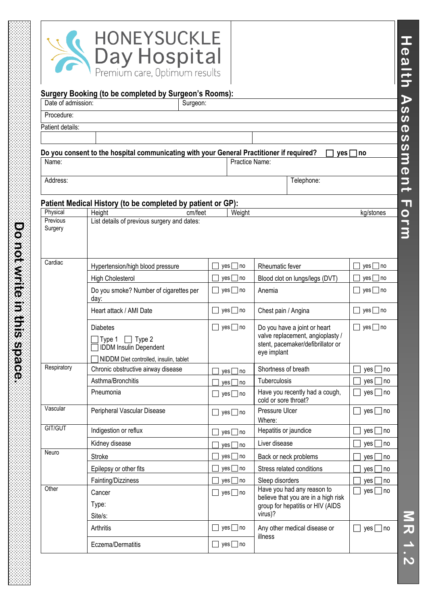

**Do not write in this space.**

a de la componentación de la componentación de la componentación de la componentación de la componentación de

| Date of admission:   | Surgery Booking (to be completed by Surgeon's Rooms):<br>Surgeon:                                                     |                                           |                                                                                                                      |                          |
|----------------------|-----------------------------------------------------------------------------------------------------------------------|-------------------------------------------|----------------------------------------------------------------------------------------------------------------------|--------------------------|
| Procedure:           |                                                                                                                       |                                           |                                                                                                                      |                          |
| Patient details:     |                                                                                                                       |                                           |                                                                                                                      |                          |
|                      |                                                                                                                       |                                           |                                                                                                                      |                          |
|                      | Do you consent to the hospital communicating with your General Practitioner if required?                              |                                           | yes l                                                                                                                | l no                     |
| Name:                |                                                                                                                       |                                           | Practice Name:                                                                                                       |                          |
| Address:             |                                                                                                                       |                                           | Telephone:                                                                                                           |                          |
|                      | Patient Medical History (to be completed by patient or GP):                                                           |                                           |                                                                                                                      |                          |
| Physical<br>Previous | cm/feet<br>Height<br>List details of previous surgery and dates:                                                      | Weight                                    |                                                                                                                      | kg/stones                |
| Surgery              |                                                                                                                       |                                           |                                                                                                                      |                          |
| Cardiac              | Hypertension/high blood pressure                                                                                      | $yes \Box$ no                             | Rheumatic fever                                                                                                      | $yes \mid \text{no}$     |
|                      | <b>High Cholesterol</b>                                                                                               | $yes \Box$ no                             | Blood clot on lungs/legs (DVT)                                                                                       | $yes \Box$ no            |
|                      | Do you smoke? Number of cigarettes per<br>day:                                                                        | $yes \Box$ no                             | Anemia                                                                                                               | yes $\Box$ no            |
|                      | Heart attack / AMI Date                                                                                               | $yes \Box$ no<br>$\blacksquare$           | Chest pain / Angina                                                                                                  | yes □ no<br>$\mathsf{L}$ |
|                      | <b>Diabetes</b><br>$\Box$ Type 2<br>Type 1<br><b>IDDM Insulin Dependent</b><br>NIDDM Diet controlled, insulin, tablet | yes $\Box$ no<br>$\overline{\phantom{a}}$ | Do you have a joint or heart<br>valve replacement, angioplasty /<br>stent, pacemaker/defibrillator or<br>eye implant | $\Box$ yes $\Box$ no     |
| Respiratory          | Chronic obstructive airway disease                                                                                    | yes [<br>$\exists$ no                     | Shortness of breath                                                                                                  | yes  <br> no             |
|                      | Asthma/Bronchitis                                                                                                     | $yes \mid \text{no}$                      | Tuberculosis                                                                                                         | yes  <br> no             |
|                      | Pneumonia                                                                                                             | $yes \Box$ no                             | Have you recently had a cough,<br>cold or sore throat?                                                               | $yes \mid \text{no}$     |
| Vascular             | Peripheral Vascular Disease                                                                                           | $yes \Box$ no                             | Pressure Ulcer<br>Where:                                                                                             | $yes \Box$ no            |
| GIT/GUT              | Indigestion or reflux                                                                                                 | $yes \Box$ no                             | Hepatitis or jaundice                                                                                                | $yes \Box$ no            |
|                      | Kidney disease                                                                                                        | yes [<br>∃no                              | Liver disease                                                                                                        | yes  <br>  no            |
| Neuro                | <b>Stroke</b>                                                                                                         | $yes \Box$ no                             | Back or neck problems                                                                                                | yes  <br>no              |
|                      | Epilepsy or other fits                                                                                                | $yes \Box$ no                             | Stress related conditions                                                                                            | yes<br>no                |
|                      | Fainting/Dizziness                                                                                                    | $yes \Box$ no                             | Sleep disorders                                                                                                      | yes<br>no                |
| Other                | Cancer<br>Type:<br>Site/s:                                                                                            | $yes \Box$ no                             | Have you had any reason to<br>believe that you are in a high risk<br>group for hepatitis or HIV (AIDS<br>virus)?     | $yes \Box$ no            |
|                      | Arthritis                                                                                                             | $yes \Box$ no                             | Any other medical disease or                                                                                         | yes $\Box$ no            |
|                      | Eczema/Dermatitis                                                                                                     | $yes \Box$ no                             | illness                                                                                                              |                          |

**MR 1.2**